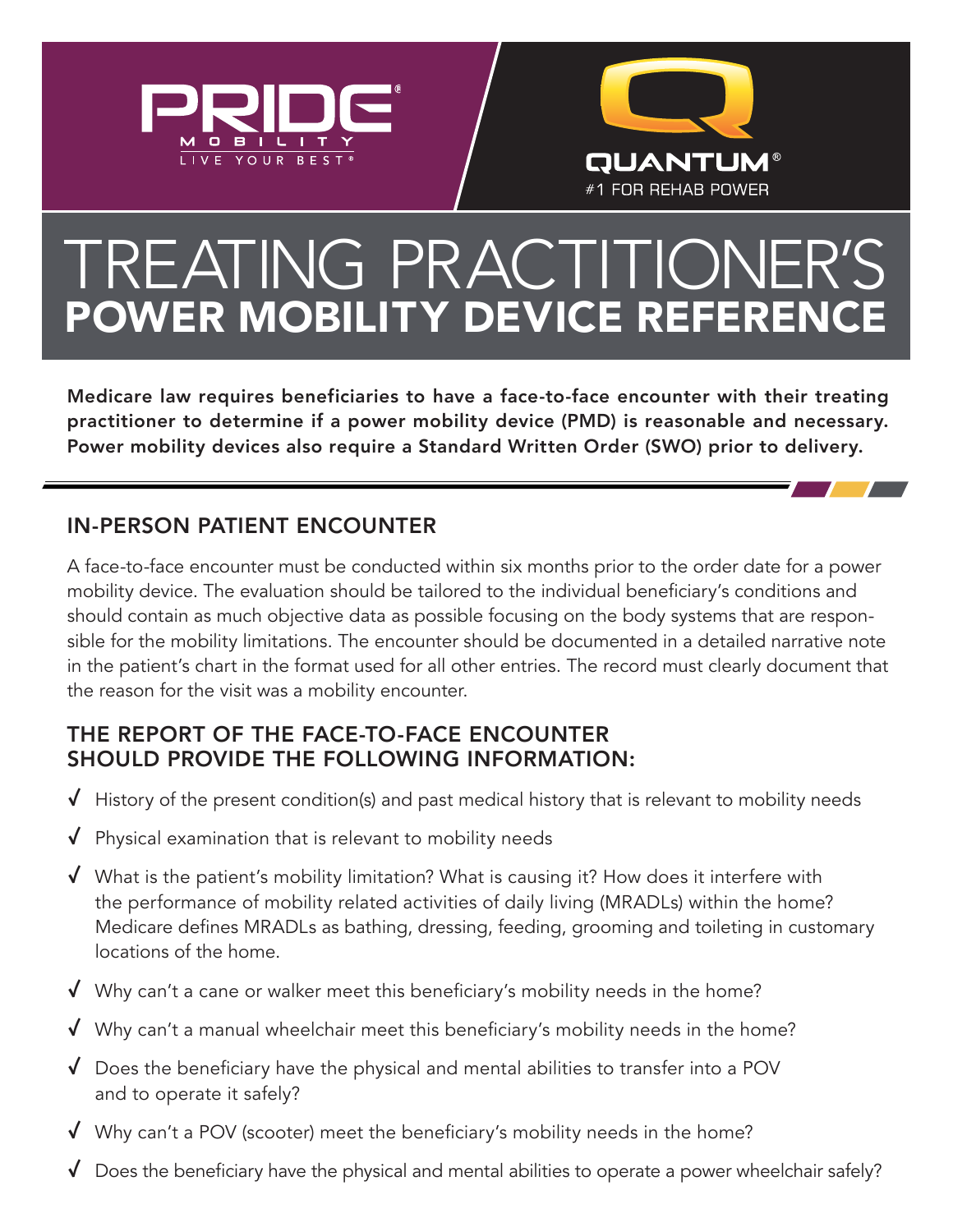



# TREATING PRACTITIONER'S POWER MOBILITY DEVICE REFERENCE

Medicare law requires beneficiaries to have a face-to-face encounter with their treating practitioner to determine if a power mobility device (PMD) is reasonable and necessary. Power mobility devices also require a Standard Written Order (SWO) prior to delivery.

## IN-PERSON PATIENT ENCOUNTER

A face-to-face encounter must be conducted within six months prior to the order date for a power mobility device. The evaluation should be tailored to the individual beneficiary's conditions and should contain as much objective data as possible focusing on the body systems that are responsible for the mobility limitations. The encounter should be documented in a detailed narrative note in the patient's chart in the format used for all other entries. The record must clearly document that the reason for the visit was a mobility encounter.

### THE REPORT OF THE FACE-TO-FACE ENCOUNTER SHOULD PROVIDE THE FOLLOWING INFORMATION:

- $\sqrt{ }$  History of the present condition(s) and past medical history that is relevant to mobility needs
- ✓ Physical examination that is relevant to mobility needs
- $\sqrt{\phantom{a}}$  What is the patient's mobility limitation? What is causing it? How does it interfere with the performance of mobility related activities of daily living (MRADLs) within the home? Medicare defines MRADLs as bathing, dressing, feeding, grooming and toileting in customary locations of the home.
- $\sqrt{ }$  Why can't a cane or walker meet this beneficiary's mobility needs in the home?
- ✓ Why can't a manual wheelchair meet this beneficiary's mobility needs in the home?
- $\sqrt{ }$  Does the beneficiary have the physical and mental abilities to transfer into a POV and to operate it safely?
- ✓ Why can't a POV (scooter) meet the beneficiary's mobility needs in the home?
- $\sqrt{ }$  Does the beneficiary have the physical and mental abilities to operate a power wheelchair safely?